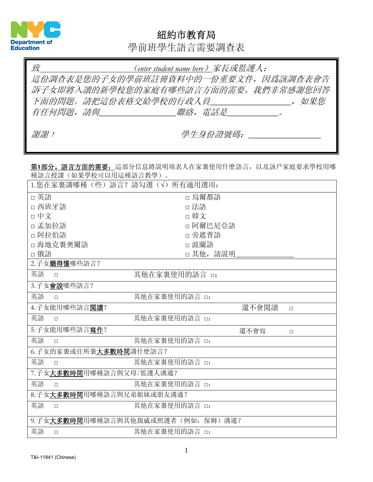

#### 紐約市教育局

學前班學生語言需要調查表

| 致   | (enter student name here) 家長或監護人:   |
|-----|-------------------------------------|
|     | 這份調查表是您的子女的學前班註冊資料中的一份重要文件,因爲該調査表會告 |
|     | 訴子女即將入讀的新學校您的家庭有哪些語言方面的需要。我們非常感謝您回答 |
|     | 下面的問題。請把這份表格交給學校的行政人員<br>如果您        |
|     | 有任何問題,請與 一個 一個 一個 聯絡,電話是 けいしょう こうかい |
|     |                                     |
| 謝謝! | 學生身份證號碼:                            |

第**1**部分。語言方面的需要:這部分信息將説明填表人在家裏使用什麽語言,以及該戶家庭要求學校用哪 種語言授課(如果學校可以用這種語言教學)。

| 1. 您在家裏講哪種 (些) 語言? 請勾選 (√) 所有適用選項: |                 |
|------------------------------------|-----------------|
| □ 英語                               | □ 烏爾都語          |
| □ 西班牙語                             | □ 法語            |
| □ 中文                               | □ 韓文            |
| □ 孟加拉語                             | □阿爾巴尼亞語         |
| □ 阿拉伯語                             | □ 旁遮普語          |
| □海地克裏奧爾語                           | □ 波蘭語           |
| □ 俄語                               | □ 其他, 請説明       |
| 2.子女聽得懂哪些語言?                       |                 |
| 英語<br>其他在家裏使用的語言 □:<br>$\Box$      |                 |
| 3.子女會說哪些語言?                        |                 |
| 英語<br>其他在家裏使用的語言 □:<br>$\Box$      |                 |
| 4.子女能用哪些語言閱讀?                      | 還不會閲讀<br>$\Box$ |
| 英語<br>其他在家裏使用的語言 □:<br>$\Box$      |                 |
| 5.子女能用哪些語言寫作?                      | 還不會寫<br>$\Box$  |
| 英語<br>其他在家裏使用的語言 □:<br>$\Box$      |                 |
| 6. 子女的家裏或住所裏大多數時間講什麼語言?            |                 |
| 英語<br>其他在家裏使用的語言 □:<br>$\Box$      |                 |
| 7.子女大多數時間用哪種語言與父母/監護人溝通?           |                 |
| 英語<br>其他在家裏使用的語言 □:<br>$\Box$      |                 |
| 8.子女大多數時間用哪種語言與兄弟姐妹或朋友溝通?          |                 |
| 英語<br>其他在家裏使用的語言 □:<br>$\Box$      |                 |
| 9.子女大多數時間用哪種語言與其他親戚或照護者(例如: 保姆)溝通? |                 |
| 英語<br>其他在家裏使用的語言 □:<br>$\Box$      |                 |
|                                    |                 |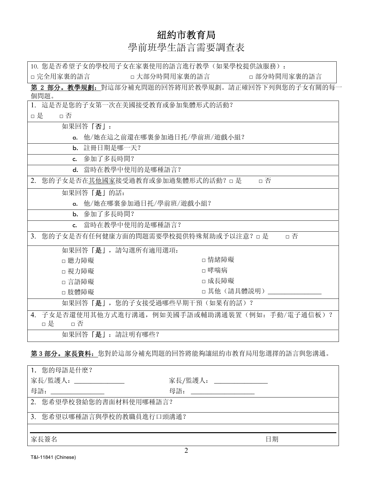### 紐約市教育局

## 學前班學生語言需要調查表

| 10. 您是否希望子女的學校用子女在家裏使用的語言進行教學(如果學校提供該服務):                     |               |  |  |  |
|---------------------------------------------------------------|---------------|--|--|--|
| □ 完全用家裏的語言<br>□ 大部分時間用家裏的語言                                   | □部分時間用家裏的語言   |  |  |  |
| 第2部分。教學規劃: 對這部分補充問題的回答將用於教學規劃。請正確回答下列與您的子女有關的每一               |               |  |  |  |
| 個問題。                                                          |               |  |  |  |
| 1. 這是否是您的子女第一次在美國接受教育或參加集體形式的活動?                              |               |  |  |  |
| □是<br>□ 否                                                     |               |  |  |  |
| 如果回答 「否」:                                                     |               |  |  |  |
| a. 他/她在這之前還在哪裏參加過日托/學前班/遊戲小組?                                 |               |  |  |  |
| b. 註冊日期是哪一天?                                                  |               |  |  |  |
| c. 參加了多長時間?                                                   |               |  |  |  |
| d. 當時在教學中使用的是哪種語言?                                            |               |  |  |  |
| 您的子女是否在其他國家接受過教育或參加過集體形式的活動? □ 是<br>2.                        | □ 否           |  |  |  |
| 如果回答「是」的話:                                                    |               |  |  |  |
| a. 他/她在哪裏參加過日托/學前班/遊戲小組?                                      |               |  |  |  |
| b. 參加了多長時間?                                                   |               |  |  |  |
| 當時在教學中使用的是哪種語言?<br>$c_{\cdot}$                                |               |  |  |  |
| 您的子女是否有任何健康方面的問題需要學校提供特殊幫助或予以注意? □ 是<br>3 <sub>1</sub><br>□ 否 |               |  |  |  |
| 如果回答「是」,請勾選所有適用選項:                                            |               |  |  |  |
| □ 聽力障礙                                                        | □ 情緒障礙        |  |  |  |
| □ 視力障礙                                                        | □哮喘病          |  |  |  |
| □ 言語障礙                                                        | □ 成長障礙        |  |  |  |
| □肢體障礙                                                         | □其他(請具體説明) __ |  |  |  |
| 如果回答「是」, 您的子女接受過哪些早期干預(如果有的話)?                                |               |  |  |  |
| 子女是否還使用其他方式進行溝通, 例如美國手語或輔助溝通裝置(例如: 手動/電子通信板) ?<br>4.          |               |  |  |  |
| □是<br>□否                                                      |               |  |  |  |
| 如果回答「是」: 請註明有哪些?                                              |               |  |  |  |

#### 第3部分。家長資料:您對於這部分補充問題的回答將能夠讓紐約市教育局用您選擇的語言與您溝通。

| 1. 您的母語是什麽?               |                                                       |  |
|---------------------------|-------------------------------------------------------|--|
| 家長/監護人: _______________   | 家長/監護人:<br><u> 1980 - Alexandr Alexandr III, poet</u> |  |
| 母語:                       | 母語:                                                   |  |
| 2. 您希望學校發給您的書面材料使用哪種語言?   |                                                       |  |
| 3. 您希望以哪種語言與學校的教職員進行口頭溝通? |                                                       |  |
|                           |                                                       |  |
| 家長簽名                      | 日期                                                    |  |